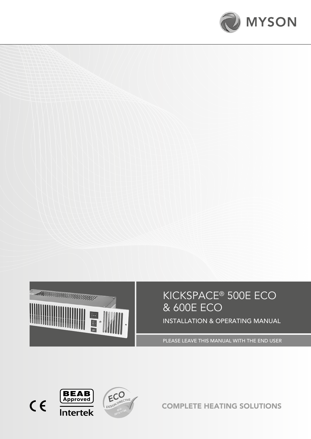



# KICKSPACE® 500E ECO & 600E ECO

INSTALLATION & OPERATING MANUAL

PLEASE LEAVE THIS MANUAL WITH THE END USER







COMPLETE HEATING SOLUTIONS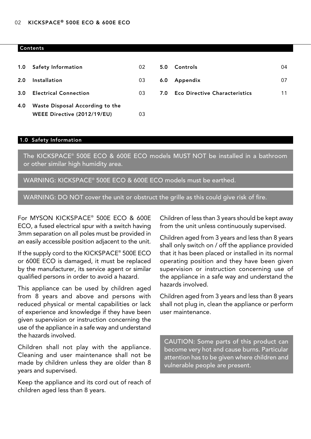#### **Contents**

|     | 1.0 Safety Information          | 02 | 5.0 | Controls                             | 04 |
|-----|---------------------------------|----|-----|--------------------------------------|----|
| 2.0 | <b>Installation</b>             | 03 | 6.0 | Appendix                             | 07 |
| 3.0 | <b>Electrical Connection</b>    | 03 | 7.0 | <b>Eco Directive Characteristics</b> | 11 |
| 4.0 | Waste Disposal According to the |    |     |                                      |    |
|     | WEEE Directive (2012/19/EU)     | 03 |     |                                      |    |

#### 1.0 Safety Information

The KICKSPACE® 500E ECO & 600E ECO models MUST NOT be installed in a bathroom or other similar high humidity area.

WARNING: KICKSPACE® 500E ECO & 600E ECO models must be earthed.

WARNING: DO NOT cover the unit or obstruct the grille as this could give risk of fire.

For MYSON KICKSPACE® 500E ECO & 600E ECO, a fused electrical spur with a switch having 3mm separation on all poles must be provided in an easily accessible position adjacent to the unit.

If the supply cord to the KICKSPACE® 500E ECO or 600E ECO is damaged, it must be replaced by the manufacturer, its service agent or similar qualified persons in order to avoid a hazard.

This appliance can be used by children aged from 8 years and above and persons with reduced physical or mental capabilities or lack of experience and knowledge if they have been given supervision or instruction concerning the use of the appliance in a safe way and understand the hazards involved.

Children shall not play with the appliance. Cleaning and user maintenance shall not be made by children unless they are older than 8 years and supervised.

Keep the appliance and its cord out of reach of children aged less than 8 years.

Children of less than 3 years should be kept away from the unit unless continuously supervised.

Children aged from 3 years and less than 8 years shall only switch on / off the appliance provided that it has been placed or installed in its normal operating position and they have been given supervision or instruction concerning use of the appliance in a safe way and understand the hazards involved.

Children aged from 3 years and less than 8 years shall not plug in, clean the appliance or perform user maintenance.

CAUTION: Some parts of this product can become very hot and cause burns. Particular attention has to be given where children and vulnerable people are present.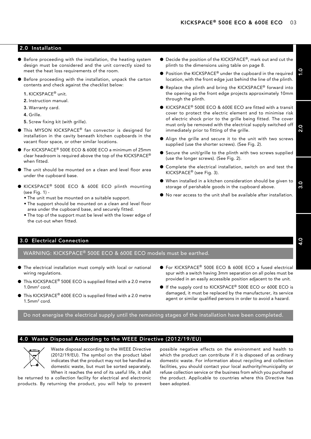#### 2.0 Installation

- $\bullet$  Before proceeding with the installation, the heating system design must be considered and the unit correctly sized to meet the heat loss requirements of the room.
- Before proceeding with the installation, unpack the carton contents and check against the checklist below:
	- 1. KICKSPACE® unit.
	- 2. Instruction manual.
	- 3. Warranty card.
	- 4. Grille.
	- 5. Screw fixing kit (with grille).
- $\bullet$  This MYSON KICKSPACE® fan convector is designed for installation in the cavity beneath kitchen cupboards in the vacant floor space, or other similar locations.
- For KICKSPACE<sup>®</sup> 500E ECO & 600E ECO a minimum of 25mm clear headroom is required above the top of the KICKSPACE® when fitted.
- The unit should be mounted on a clean and level floor area under the cupboard base.
- KICKSPACE<sup>®</sup> 500E ECO & 600E ECO plinth mounting (see Fig. 1) -
	- The unit must be mounted on a suitable support.
	- The support should be mounted on a clean and level floor area under the cupboard base, and securely fitted.
	- The top of the support must be level with the lower edge of the cut-out when fitted.
- Decide the position of the KICKSPACE®, mark out and cut the plinth to the dimensions using table on page 8.
- $\bullet$  Position the KICKSPACE® under the cupboard in the required location, with the front edge just behind the line of the plinth.
- Replace the plinth and bring the KICKSPACE® forward into the opening so the front edge projects approximately 10mm through the plinth.
- $\bullet$  KICKSPACE® 500E ECO & 600E ECO are fitted with a transit cover to protect the electric element and to minimise risk of electric shock prior to the grille being fitted. The cover must only be removed with the electrical supply switched off immediately prior to fitting of the grille.
- $\bullet$  Align the grille and secure it to the unit with two screws supplied (use the shorter screws). (See Fig. 2).
- Secure the unit/grille to the plinth with two screws supplied (use the longer screws). (See Fig. 2).
- Complete the electrical installation, switch on and test the KICKSPACE® (see Fig. 3).
- $\bullet$  When installed in a kitchen consideration should be given to storage of perishable goods in the cupboard above.
- $\bullet$  No rear access to the unit shall be available after installation.

#### 3.0 Electrical Connection

WARNING: KICKSPACE® 500E ECO & 600E ECO models must be earthed.

- $\bullet$  The electrical installation must comply with local or national wiring regulations.
- $\bullet$  This KICKSPACE® 500E ECO is supplied fitted with a 2.0 metre 1.0mm2 cord.
- $\bullet$  This KICKSPACE® 600E ECO is supplied fitted with a 2.0 metre 1.5mm2 cord.
- For KICKSPACE<sup>®</sup> 500E ECO & 600E ECO a fused electrical spur with a switch having 3mm separation on all poles must be provided in an easily accessible position adjacent to the unit.
- If the supply cord to KICKSPACE<sup>®</sup> 500E ECO or 600E ECO is damaged, it must be replaced by the manufacturer, its service agent or similar qualified persons in order to avoid a hazard.

Do not energise the electrical supply until the remaining stages of the installation have been completed.

#### 4.0 Waste Disposal According to the WEEE Directive (2012/19/EU)



Waste disposal according to the WEEE Directive (2012/19/EU). The symbol on the product label indicates that the product may not be handled as domestic waste, but must be sorted separately. When it reaches the end of its useful life, it shall

be returned to a collection facility for electrical and electronic products. By returning the product, you will help to prevent

possible negative effects on the environment and health to which the product can contribute if it is disposed of as ordinary domestic waste. For information about recycling and collection facilities, you should contact your local authority/municipality or refuse collection service or the business from which you purchased the product. Applicable to countries where this Directive has been adopted.

2.0

1.0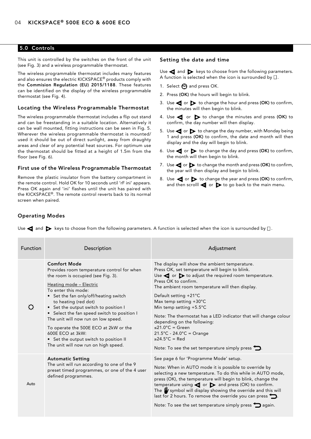#### 5.0 Controls

This unit is controlled by the switches on the front of the unit (see Fig. 3) and a wireless programmable thermostat.

The wireless programmable thermostat includes many features and also ensures the electric KICKSPACE® products comply with the Commision Regulation (EU) 2015/1188. These features can be identified on the display of the wireless programmable thermostat (see Fig. 4).

#### Locating the Wireless Programmable Thermostat

The wireless programmable thermostat includes a flip out stand and can be freestanding in a suitable location. Alternatively it can be wall mounted, fitting instructions can be seen in Fig. 5. Wherever the wireless programmable thermostat is mounted/ used it should be out of direct sunlight, away from draughty areas and clear of any potential heat sources. For optimum use the thermostat should be fitted at a height of 1.5m from the floor (see Fig. 6).

#### First use of the Wireless Programmable Thermostat

Remove the plastic insulator from the battery compartment in the remote control. Hold OK for 10 seconds until 'rF ini' appears. Press OK again and 'ini' flashes until the unit has paired with the KICKSPACE®. The remote control reverts back to its normal screen when paired.

#### Setting the date and time

Use  $\blacktriangleleft$  and  $\blacktriangleright$  keys to choose from the following parameters. A function is selected when the icon is surrounded by  $\square$ .

- 1. Select  $\Theta$  and press OK.
- 2. Press (OK) the hours will begin to blink.
- 3. Use  $\blacktriangleleft$  or  $\blacktriangleright$  to change the hour and press (OK) to confirm, the minutes will then begin to blink.
- 4. Use  $\blacktriangleleft$  or  $\blacktriangleright$  to change the minutes and press (OK) to confirm, the day number will then display.
- 5. Use  $\blacktriangleleft$  or  $\blacktriangleright$  to change the day number, with Monday being 1 and press (OK) to confirm, the date and month will then display and the day will begin to blink.
- 6. Use  $\blacktriangleleft$  or  $\blacktriangleright$  to change the day and press (OK) to confirm, the month will then begin to blink.
- 7. Use  $\blacktriangleleft$  or  $\blacktriangleright$  to change the month and press (OK) to confirm, the year will then display and begin to blink.
- 8. Use  $\blacktriangleleft$  or  $\blacktriangleright$  to change the year and press (OK) to confirm, and then scrolll  $\blacktriangleleft$  or  $\blacktriangleright$  to go back to the main menu.

#### Operating Modes

| <b>Function</b> | Description                                                                                                                                                                                                                                                                                                                                                                                                                                                                                              | Adjustment                                                                                                                                                                                                                                                                                                                                                                                                                                                                                                                                                                                                                      |
|-----------------|----------------------------------------------------------------------------------------------------------------------------------------------------------------------------------------------------------------------------------------------------------------------------------------------------------------------------------------------------------------------------------------------------------------------------------------------------------------------------------------------------------|---------------------------------------------------------------------------------------------------------------------------------------------------------------------------------------------------------------------------------------------------------------------------------------------------------------------------------------------------------------------------------------------------------------------------------------------------------------------------------------------------------------------------------------------------------------------------------------------------------------------------------|
|                 | <b>Comfort Mode</b><br>Provides room temperature control for when<br>the room is occupied (see Fig. 3).<br>Heating mode - Electric<br>To enter this mode:<br>• Set the fan only/off/heating switch<br>to heating (red dot)<br>• Set the output switch to position I<br>• Select the fan speed switch to position I<br>The unit will now run on low speed.<br>To operate the 500E ECO at 2kW or the<br>600E ECO at 3kW:<br>• Set the output switch to position II<br>The unit will now run on high speed. | The display will show the ambient temperature.<br>Press OK, set temperature will begin to blink.<br>Use $\blacktriangleleft$ or $\blacktriangleright$ to adjust the required room temperature.<br>Press OK to confirm.<br>The ambient room temperature will then display.<br>Default setting +21°C<br>Max temp setting $+30^{\circ}$ C<br>Min temp setting +5.5°C<br>Note: The thermostat has a LED indicator that will change colour<br>depending on the following:<br>$\leq$ 21.0°C = Green<br>$21.5^{\circ}$ C - 24.0 $^{\circ}$ C = Orange<br>$\geq$ 24.5°C = Red<br>Note: To see the set temperature simply press $\sum$ . |
| Auto            | <b>Automatic Setting</b><br>The unit will run according to one of the 9<br>preset timed programmes, or one of the 4 user<br>defined programmes.                                                                                                                                                                                                                                                                                                                                                          | See page 6 for 'Programme Mode' setup.<br>Note: When in AUTO mode it is possible to override by<br>selecting a new temperature. To do this while in AUTO mode,<br>press (OK), the temperature will begin to blink, change the<br>temperature using $\blacktriangleleft$ or $\blacktriangleright$ and press (OK) to confirm.<br>The $\psi$ symbol will display showing the override and this will<br>last for 2 hours. To remove the override you can press $\sum$ .<br>Note: To see the set temperature simply press $\sum$ again.                                                                                              |

Use  $\blacktriangleleft$  and  $\blacktriangleright$  keys to choose from the following parameters. A function is selected when the icon is surrounded by  $\Box$ .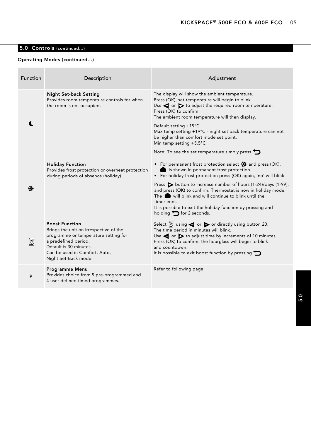# 5.0 Controls (continued...)

### Operating Modes (continued...)

| <b>Function</b> | Description                                                                                                                                                                                                        | Adjustment                                                                                                                                                                                                                                                                                                                                                                                                                                                                                                     |
|-----------------|--------------------------------------------------------------------------------------------------------------------------------------------------------------------------------------------------------------------|----------------------------------------------------------------------------------------------------------------------------------------------------------------------------------------------------------------------------------------------------------------------------------------------------------------------------------------------------------------------------------------------------------------------------------------------------------------------------------------------------------------|
|                 | <b>Night Set-back Setting</b><br>Provides room temperature controls for when<br>the room is not occupied.                                                                                                          | The display will show the ambient temperature.<br>Press (OK), set temperature will begin to blink.<br>Use $\blacktriangleleft$ or $\blacktriangleright$ to adjust the required room temperature.<br>Press (OK) to confirm.<br>The ambient room temperature will then display.<br>Default setting +19°C<br>Max temp setting +19°C - night set back temperature can not<br>be higher than comfort mode set point.<br>Min temp setting $+5.5^{\circ}$ C<br>Note: To see the set temperature simply press $\sum$ . |
| ₩               | <b>Holiday Function</b><br>Provides frost protection or overheat protection<br>during periods of absence (holiday).                                                                                                | • For permanent frost protection select $\frac{1}{24}$ and press (OK).<br>is shown in permanent frost protection.<br>• For holiday frost protection press (OK) again, 'no' will blink.<br>Press > button to increase number of hours (1-24)/days (1-99),<br>and press (OK) to confirm. Thermostat is now in holiday mode.<br>The <b>n</b> will blink and will continue to blink until the<br>timer ends.<br>It is possible to exit the holiday function by pressing and<br>holding $\bigcirc$ for 2 seconds.   |
|                 | <b>Boost Function</b><br>Brings the unit on irrespective of the<br>programme or temperature setting for<br>a predefined period.<br>Default is 30 minutes.<br>Can be used in Comfort, Auto,<br>Night Set-Back mode. | Select $\boxtimes$ using $\blacktriangleleft$ or $\blacktriangleright$ or directly using button 20.<br>The time period in minutes will blink.<br>Use $\blacktriangleleft$ or $\blacktriangleright$ to adjust time by increments of 10 minutes.<br>Press (OK) to confirm, the hourglass will begin to blink<br>and countdown.<br>It is possible to exit boost function by pressing $\sum$ .                                                                                                                     |
| P               | Programme Menu<br>Provides choice from 9 pre-programmed and<br>4 user defined timed programmes.                                                                                                                    | Refer to following page.                                                                                                                                                                                                                                                                                                                                                                                                                                                                                       |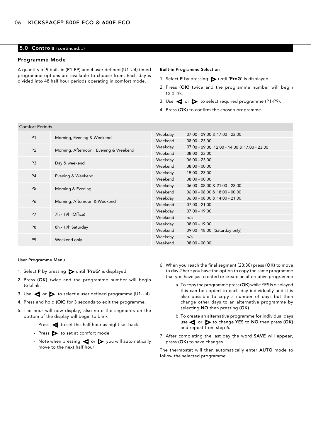#### 5.0 Controls (continued...)

#### Programme Mode

A quantity of 9 built-in (P1-P9) and 4 user defined (U1-U4) timed programme options are available to choose from. Each day is divided into 48 half hour periods operating in comfort mode.

#### Built-in Programme Selection

- 1. Select P by pressing  $\triangleright$  until 'ProG' is displayed.
- 2. Press (OK) twice and the programme number will begin to blink.
- 3. Use  $\blacktriangleleft$  or  $\blacktriangleright$  to select required programme (P1-P9).
- 4. Press (OK) to confirm the chosen programme.

| <b>Comfort Periods</b> |                                       |                 |                                              |
|------------------------|---------------------------------------|-----------------|----------------------------------------------|
| P <sub>1</sub>         |                                       | Weekday         | 07:00 - 09:00 & 17:00 - 23:00                |
|                        | Morning, Evening & Weekend            | Weekend         | $08:00 - 23:00$                              |
| <b>P2</b>              | Morning, Afternoon, Evening & Weekend | Weekday         | 07:00 - 09:00, 12:00 - 14:00 & 17:00 - 23:00 |
|                        |                                       | Weekend         | $08:00 - 23:00$                              |
| P <sub>3</sub>         | Day & weekend                         | Weekday         | $06:00 - 23:00$                              |
|                        |                                       | Weekend         | $08:00 - 00:00$                              |
| <b>P4</b>              | Evening & Weekend                     | Weekday         | 15:00 - 23:00                                |
| Weekend                |                                       | $08:00 - 00:00$ |                                              |
| P <sub>5</sub>         | Morning & Evening                     | Weekday         | 06:00 - 08:00 & 21:00 - 23:00                |
|                        |                                       | Weekend         | 06:00 - 08:00 & 18:00 - 00:00                |
| P6                     | Morning, Afternoon & Weekend          | Weekday         | $06:00 - 08:00$ & $14:00 - 21:00$            |
|                        |                                       | Weekend         | $07:00 - 21:00$                              |
| P7                     | 7h - 19h (Office)                     | Weekday         | $07:00 - 19:00$                              |
|                        |                                       | Weekend         | n/a                                          |
| P <sub>8</sub>         | 8h - 19h Saturday                     | Weekday         | $08:00 - 19:00$                              |
|                        |                                       | Weekend         | 09:00 - 18:00 (Saturday only)                |
| P <sub>9</sub>         | Weekend only                          | Weekday         | n/a                                          |
|                        |                                       | Weekend         | $08:00 - 00:00$                              |
|                        |                                       |                 |                                              |

#### User Programme Menu

- 1. Select P by pressing  $\triangleright$  until 'ProG' is displayed.
- 2. Press (OK) twice and the programme number will begin to blink.
- 3. Use  $\blacktriangleleft$  or  $\blacktriangleright$  to select a user defined programme (U1-U4).
- 4. Press and hold (OK) for 3 seconds to edit the programme.
- 5. The hour will now display, also note the segments on the bottom of the display will begin to blink
	- Press  $\blacktriangleleft$  to set this half hour as night set back
	- Press  $\rightarrow$  to set at comfort mode
	- Note when pressing  $\blacktriangleleft$  or  $\blacktriangleright$  you will automatically move to the next half hour.
- 6. When you reach the final segment (23:30) press (OK) to move to day 2 here you have the option to copy the same programme that you have just created or create an alternative programme
	- a. To copy the programme press (OK) while YES is displayed this can be copied to each day individually and it is also possible to copy a number of days but then change other days to an alternative programme by selecting NO then pressing (OK)
	- b. To create an alternative programme for individual days use  $\blacktriangleleft$  or  $\blacktriangleright$  to change YES to NO then press (OK) and repeat from step 6.
- 7. After completing the last day the word SAVE will appear, press (OK) to save changes.

The thermostat will then automatically enter AUTO mode to follow the selected programme.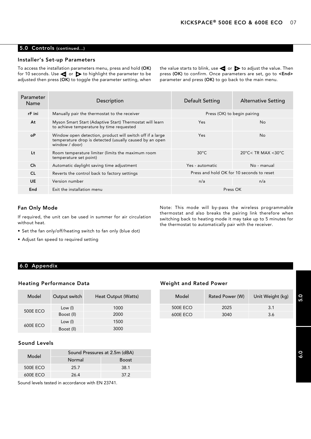#### 5.0 Controls (continued...)

#### Installer's Set-up Parameters

To access the installation parameters menu, press and hold (OK) for 10 seconds. Use  $\blacktriangleleft$  or  $\blacktriangleright$  to highlight the parameter to be adjusted then press (OK) to toggle the parameter setting, when the value starts to blink, use  $\blacktriangleleft$  or  $\blacktriangleright$  to adjust the value. Then press (OK) to confirm. Once parameters are set, go to <End> parameter and press (OK) to go back to the main menu.

| <b>Parameter</b><br>Name | Description                                                                                                                            | <b>Default Setting</b> | <b>Alternative Setting</b>                |
|--------------------------|----------------------------------------------------------------------------------------------------------------------------------------|------------------------|-------------------------------------------|
| rF ini                   | Manually pair the thermostat to the receiver                                                                                           |                        | Press (OK) to begin pairing               |
| At                       | Myson Smart Start (Adaptive Start) Thermostat will learn<br>to achieve temperature by time requested                                   | <b>Yes</b>             | N <sub>o</sub>                            |
| οP                       | Window open detection, product will switch off if a large<br>temperature drop is detected (usually caused by an open<br>window / door) | Yes                    | <b>No</b>                                 |
| Lt                       | Room temperature limiter (limits the maximum room<br>temperature set point)                                                            | $30^{\circ}$ C         | 20°C< TR MAX < 30°C                       |
| Ch                       | Automatic daylight saving time adjustment                                                                                              | Yes - automatic        | No - manual                               |
| <b>CL</b>                | Reverts the control back to factory settings                                                                                           |                        | Press and hold OK for 10 seconds to reset |
| <b>UE</b>                | Version number                                                                                                                         | n/a                    | n/a                                       |
| End                      | Exit the installation menu                                                                                                             |                        | Press OK                                  |

#### Fan Only Mode

If required, the unit can be used in summer for air circulation without heat.

- Set the fan only/off/heating switch to fan only (blue dot)
- Adjust fan speed to required setting

6.0 Appendix

#### Heating Performance Data

| Model           | Output switch | Heat Output (Watts) |
|-----------------|---------------|---------------------|
| <b>500E ECO</b> | Low (I)       | 1000                |
|                 | Boost (II)    | 2000                |
| 600E ECO        | Low (l)       | 1500                |
|                 | Boost (II)    | 3000                |

#### Sound Levels

| Model    |        | Sound Pressures at 2.5m (dBA) |  |  |  |
|----------|--------|-------------------------------|--|--|--|
|          | Normal | <b>Boost</b>                  |  |  |  |
| 500E ECO | 25.7   | 38.1                          |  |  |  |
| 600E ECO | 26 4   | 37.2                          |  |  |  |

Sound levels tested in accordance with EN 23741.

#### Weight and Rated Power

| Model   | Output switch | Heat Output (Watts) | Model           | Rated Power (W) | Unit Weight (kg) |
|---------|---------------|---------------------|-----------------|-----------------|------------------|
| 00E ECO | Low (l)       | 1000                | <b>500E ECO</b> | 2025            | 3.1              |
|         | Boost (II)    | 2000                | 600E ECO        | 3040            | 3.6              |

Note: This mode will by-pass the wireless programmable thermostat and also breaks the pairing link therefore when switching back to heating mode it may take up to 5 minutes for

the thermostat to automatically pair with the receiver.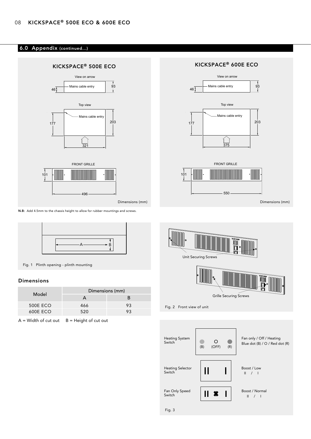#### 6.0 Appendix (continued...)



N.B: Add 4.5mm to the chassis height to allow for rubber mountings and screws.



Fig. 1 Plinth opening - plinth mounting

#### Dimensions

|                 |     | Dimensions (mm) |  |  |
|-----------------|-----|-----------------|--|--|
| Model           |     |                 |  |  |
| <b>500E ECO</b> | 466 | 93              |  |  |
| 600E ECO        | 520 |                 |  |  |

 $A = Width of cut out  $B = Height of cut out$$ 

# View on arrow Mains cable entry  $\frac{9}{1}$ 46 Top view Mains cable entry  $rac{1}{375}$ FRONT GRILLE **MANI** 10000000000000000 **MIN**  $101$  $-550 -$



Fig. 2 Front view of unit

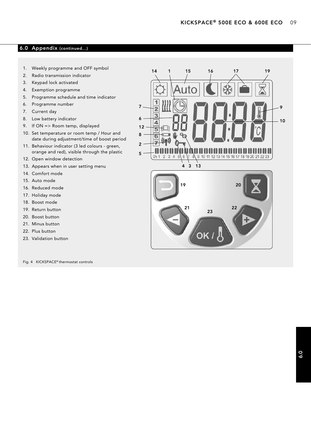# 6.0 Appendix (continued...)

- 1. Weekly programme and OFF symbol
- 2. Radio transmission indicator
- 3. Keypad lock activated
- 4. Exemption programme
- 5. Programme schedule and time indicator
- 6. Programme number
- 7. Current day
- 8. Low battery indicator
- 9. If ON => Room temp, displayed
- 10. Set temperature or room temp / Hour and date during adjustment/time of boost period
- 11. Behaviour indicator (3 led colours green, orange and red), visible through the plastic
- 12. Open window detection
- 13. Appears when in user setting menu
- 14. Comfort mode
- 15. Auto mode
- 16. Reduced mode
- 17. Holiday mode
- 18. Boost mode
- 19. Return button
- 20. Boost button
- 21. Minus button
- 22. Plus button
- 23. Validation button

Fig. 4 KICKSPACE® thermostat controls

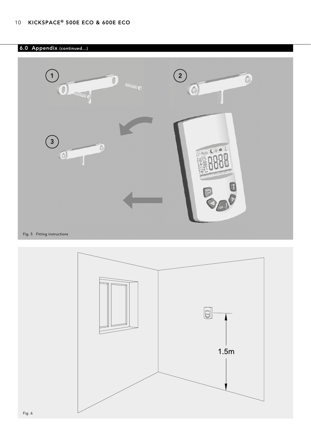# 6.0 Appendix (continued...)



Fig. 5 Fitting instructions

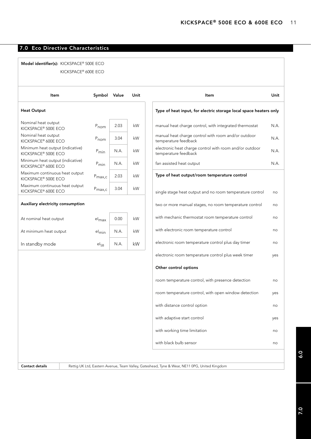# 7.0 Eco Directive Characteristics

#### Model identifier(s): KICKSPACE® 500E ECO KICKSPACE® 600E ECO

| Item                                                                | Symbol             | Value | Unit |
|---------------------------------------------------------------------|--------------------|-------|------|
| <b>Heat Output</b>                                                  |                    |       |      |
| Nominal heat output<br>KICKSPACE <sup>®</sup> 500E ECO              | $P_{nom}$          | 2.03  | kW   |
| Nominal heat output<br>KICKSPACE® 600E ECO                          | $P_{nom}$          | 3.04  | kW   |
| Minimum heat output (indicative)<br>KICKSPACE <sup>®</sup> 500E ECO | $P_{min}$          | N A   | kW   |
| Minimum heat output (indicative)<br>KICKSPACE® 600E ECO             | P <sub>min</sub>   | N A   | kW   |
| Maximum continuous heat output<br>KICKSPACE <sup>®</sup> 500E ECO   | $P_{\text{max},c}$ | 2.03  | kW   |
| Maximum continuous heat output<br>KICKSPACE <sup>®</sup> 600E ECO   | $P_{\text{max},c}$ | 3.04  | kW   |
| Auxiliary electricity consumption                                   |                    |       |      |
|                                                                     |                    |       |      |
| At nominal heat output                                              | $el_{max}$         | 0.00  | kW   |
| At minimum heat output                                              | el <sub>min</sub>  | N A   | kW   |
| In standby mode                                                     | $el_{SR}$          | N A   | kW   |
|                                                                     |                    |       |      |
|                                                                     |                    |       |      |

| Item                                                                            | Unit |
|---------------------------------------------------------------------------------|------|
| Type of heat input, for electric storage local space heaters only               |      |
| manual heat charge control, with integrated thermostat                          | N.A. |
| manual heat charge control with room and/or outdoor<br>temperature feedback     | N.A. |
| electronic heat charge control with room and/or outdoor<br>temperature feedback | N.A. |
| fan assisted heat output                                                        | N.A. |
| Type of heat output/room temperature control                                    |      |
| single stage heat output and no room temperature control                        | no   |
| two or more manual stages, no room temperature control                          | no   |
| with mechanic thermostat room temperature control                               | no   |
| with electronic room temperature control                                        | no   |
| electronic room temperature control plus day timer                              | no   |
| electronic room temperature control plus week timer                             | yes  |
| Other control options                                                           |      |
| room temperature control, with presence detection                               | no   |
| room temperature control, with open window detection                            | yes  |
| with distance control option                                                    | no   |
| with adaptive start control                                                     | yes  |
| with working time limitation                                                    | no   |
| with black bulb sensor                                                          | no   |
|                                                                                 |      |

Contact details Rettig UK Ltd, Eastern Avenue, Team Valley, Gateshead, Tyne & Wear, NE11 0PG, United Kingdom